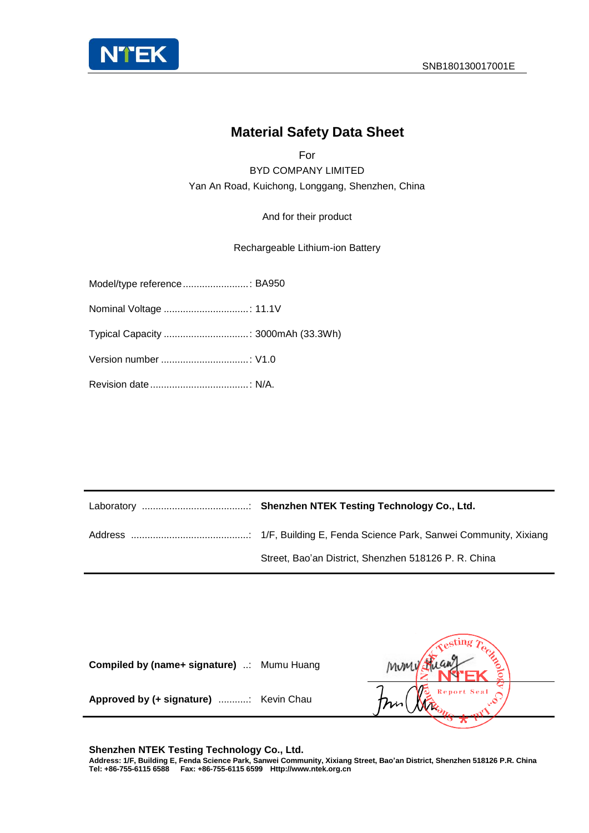

#### **Material Safety Data Sheet**

For BYD COMPANY LIMITED Yan An Road, Kuichong, Longgang, Shenzhen, China

And for their product

Rechargeable Lithium-ion Battery

| Model/type reference: BA950          |  |
|--------------------------------------|--|
|                                      |  |
| Typical Capacity  : 3000mAh (33.3Wh) |  |
|                                      |  |
|                                      |  |

| Street, Bao'an District, Shenzhen 518126 P. R. China |
|------------------------------------------------------|

| Compiled by (name+ signature) : Mumu Huang |                     |
|--------------------------------------------|---------------------|
| Approved by (+ signature)  Kevin Chau      | Report Seal<br>This |
|                                            |                     |

**Shenzhen NTEK Testing Technology Co., Ltd. Address: 1/F, Building E, Fenda Science Park, Sanwei Community, Xixiang Street, Bao'an District, Shenzhen 518126 P.R. China Tel: +86-755-6115 6588 Fax: +86-755-6115 6599 Http://www.ntek.org.cn**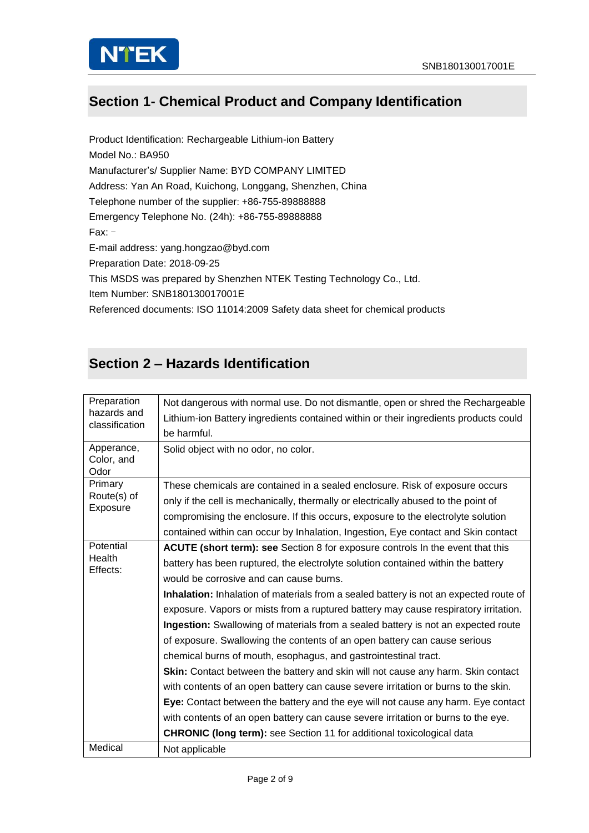

### **Section 1- Chemical Product and Company Identification**

Product Identification: Rechargeable Lithium-ion Battery Model No.: BA950 Manufacturer's/ Supplier Name: BYD COMPANY LIMITED Address: Yan An Road, Kuichong, Longgang, Shenzhen, China Telephone number of the supplier: +86-755-89888888 Emergency Telephone No. (24h): +86-755-89888888 Fax: - E-mail address: yang.hongzao@byd.com Preparation Date: 2018-09-25 This MSDS was prepared by Shenzhen NTEK Testing Technology Co., Ltd. Item Number: SNB180130017001E Referenced documents: ISO 11014:2009 Safety data sheet for chemical products

### **Section 2 – Hazards Identification**

| Preparation<br>hazards and<br>classification | Not dangerous with normal use. Do not dismantle, open or shred the Rechargeable       |
|----------------------------------------------|---------------------------------------------------------------------------------------|
|                                              | Lithium-ion Battery ingredients contained within or their ingredients products could  |
|                                              | be harmful.                                                                           |
| Apperance,                                   | Solid object with no odor, no color.                                                  |
| Color, and<br>Odor                           |                                                                                       |
| Primary                                      | These chemicals are contained in a sealed enclosure. Risk of exposure occurs          |
| Route(s) of                                  | only if the cell is mechanically, thermally or electrically abused to the point of    |
| Exposure                                     | compromising the enclosure. If this occurs, exposure to the electrolyte solution      |
|                                              |                                                                                       |
|                                              | contained within can occur by Inhalation, Ingestion, Eye contact and Skin contact     |
| Potential<br>Health                          | <b>ACUTE (short term): see</b> Section 8 for exposure controls In the event that this |
| Effects:                                     | battery has been ruptured, the electrolyte solution contained within the battery      |
|                                              | would be corrosive and can cause burns.                                               |
|                                              | Inhalation: Inhalation of materials from a sealed battery is not an expected route of |
|                                              | exposure. Vapors or mists from a ruptured battery may cause respiratory irritation.   |
|                                              | Ingestion: Swallowing of materials from a sealed battery is not an expected route     |
|                                              | of exposure. Swallowing the contents of an open battery can cause serious             |
|                                              | chemical burns of mouth, esophagus, and gastrointestinal tract.                       |
|                                              | Skin: Contact between the battery and skin will not cause any harm. Skin contact      |
|                                              | with contents of an open battery can cause severe irritation or burns to the skin.    |
|                                              | Eye: Contact between the battery and the eye will not cause any harm. Eye contact     |
|                                              | with contents of an open battery can cause severe irritation or burns to the eye.     |
|                                              | <b>CHRONIC (long term):</b> see Section 11 for additional toxicological data          |
| Medical                                      | Not applicable                                                                        |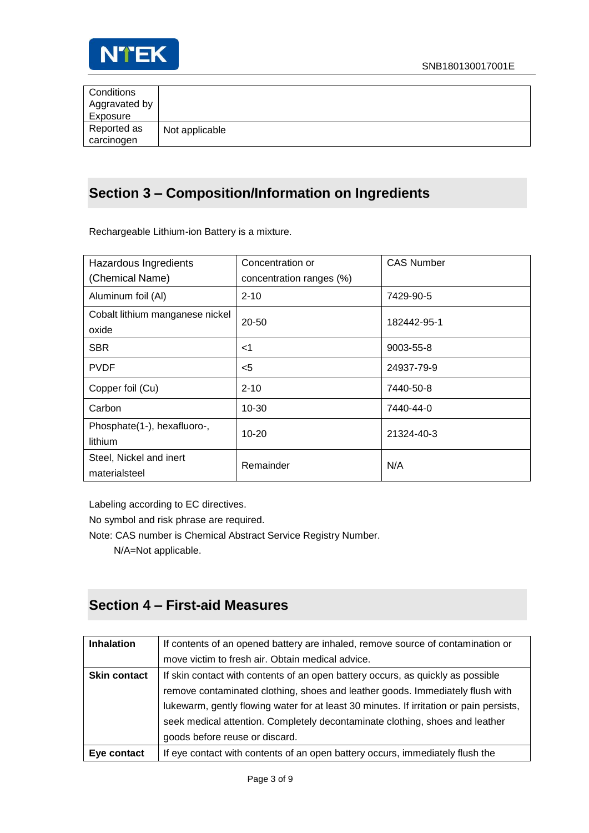

| Conditions    |                |
|---------------|----------------|
| Aggravated by |                |
| Exposure      |                |
| Reported as   | Not applicable |
| carcinogen    |                |

### **Section 3 – Composition/Information on Ingredients**

Rechargeable Lithium-ion Battery is a mixture.

| Hazardous Ingredients<br>(Chemical Name) | Concentration or<br>concentration ranges (%) | <b>CAS Number</b> |
|------------------------------------------|----------------------------------------------|-------------------|
| Aluminum foil (Al)                       | $2 - 10$                                     | 7429-90-5         |
| Cobalt lithium manganese nickel<br>oxide | 20-50                                        | 182442-95-1       |
| <b>SBR</b>                               | $<$ 1                                        | 9003-55-8         |
| <b>PVDF</b>                              | $<$ 5                                        | 24937-79-9        |
| Copper foil (Cu)                         | $2 - 10$                                     | 7440-50-8         |
| Carbon                                   | $10 - 30$                                    | 7440-44-0         |
| Phosphate(1-), hexafluoro-,<br>lithium   | $10 - 20$                                    | 21324-40-3        |
| Steel, Nickel and inert<br>materialsteel | Remainder                                    | N/A               |

Labeling according to EC directives.

No symbol and risk phrase are required.

Note: CAS number is Chemical Abstract Service Registry Number.

N/A=Not applicable.

### **Section 4 – First-aid Measures**

| <b>Inhalation</b>   | If contents of an opened battery are inhaled, remove source of contamination or         |  |
|---------------------|-----------------------------------------------------------------------------------------|--|
|                     | move victim to fresh air. Obtain medical advice.                                        |  |
| <b>Skin contact</b> | If skin contact with contents of an open battery occurs, as quickly as possible         |  |
|                     | remove contaminated clothing, shoes and leather goods. Immediately flush with           |  |
|                     | lukewarm, gently flowing water for at least 30 minutes. If irritation or pain persists, |  |
|                     | seek medical attention. Completely decontaminate clothing, shoes and leather            |  |
|                     | goods before reuse or discard.                                                          |  |
| Eye contact         | If eye contact with contents of an open battery occurs, immediately flush the           |  |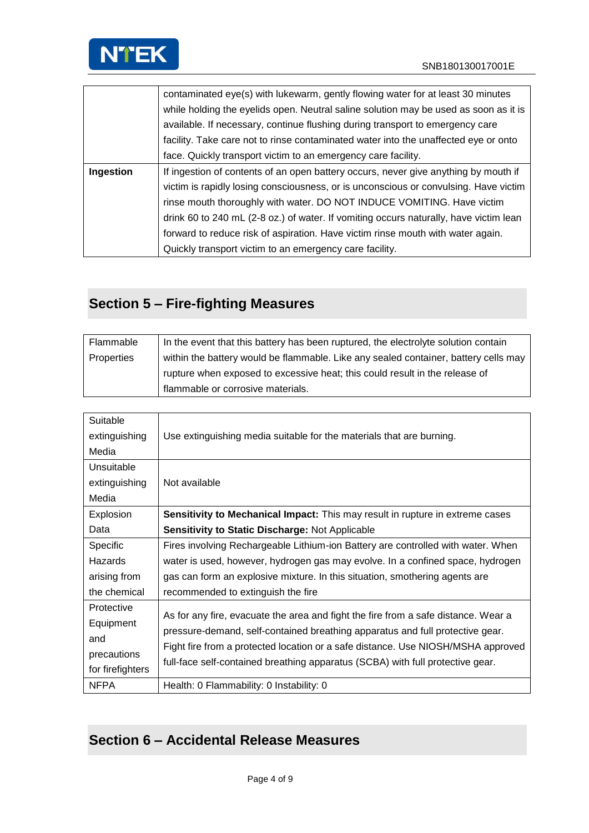

|           | contaminated eye(s) with lukewarm, gently flowing water for at least 30 minutes       |
|-----------|---------------------------------------------------------------------------------------|
|           | while holding the eyelids open. Neutral saline solution may be used as soon as it is  |
|           | available. If necessary, continue flushing during transport to emergency care         |
|           | facility. Take care not to rinse contaminated water into the unaffected eye or onto   |
|           | face. Quickly transport victim to an emergency care facility.                         |
| Ingestion | If ingestion of contents of an open battery occurs, never give anything by mouth if   |
|           | victim is rapidly losing consciousness, or is unconscious or convulsing. Have victim  |
|           | rinse mouth thoroughly with water. DO NOT INDUCE VOMITING. Have victim                |
|           | drink 60 to 240 mL (2-8 oz.) of water. If vomiting occurs naturally, have victim lean |
|           | forward to reduce risk of aspiration. Have victim rinse mouth with water again.       |
|           | Quickly transport victim to an emergency care facility.                               |

## **Section 5 – Fire-fighting Measures**

| Flammable  | In the event that this battery has been ruptured, the electrolyte solution contain  |
|------------|-------------------------------------------------------------------------------------|
| Properties | within the battery would be flammable. Like any sealed container, battery cells may |
|            | rupture when exposed to excessive heat; this could result in the release of         |
|            | flammable or corrosive materials.                                                   |

| Suitable         |                                                                                      |
|------------------|--------------------------------------------------------------------------------------|
| extinguishing    | Use extinguishing media suitable for the materials that are burning.                 |
| Media            |                                                                                      |
| Unsuitable       |                                                                                      |
| extinguishing    | Not available                                                                        |
| Media            |                                                                                      |
| Explosion        | <b>Sensitivity to Mechanical Impact:</b> This may result in rupture in extreme cases |
| Data             | Sensitivity to Static Discharge: Not Applicable                                      |
| <b>Specific</b>  | Fires involving Rechargeable Lithium-ion Battery are controlled with water. When     |
| Hazards          | water is used, however, hydrogen gas may evolve. In a confined space, hydrogen       |
| arising from     | gas can form an explosive mixture. In this situation, smothering agents are          |
| the chemical     | recommended to extinguish the fire                                                   |
| Protective       |                                                                                      |
| Equipment        | As for any fire, evacuate the area and fight the fire from a safe distance. Wear a   |
| and              | pressure-demand, self-contained breathing apparatus and full protective gear.        |
| precautions      | Fight fire from a protected location or a safe distance. Use NIOSH/MSHA approved     |
| for firefighters | full-face self-contained breathing apparatus (SCBA) with full protective gear.       |
| <b>NFPA</b>      | Health: 0 Flammability: 0 Instability: 0                                             |

## **Section 6 – Accidental Release Measures**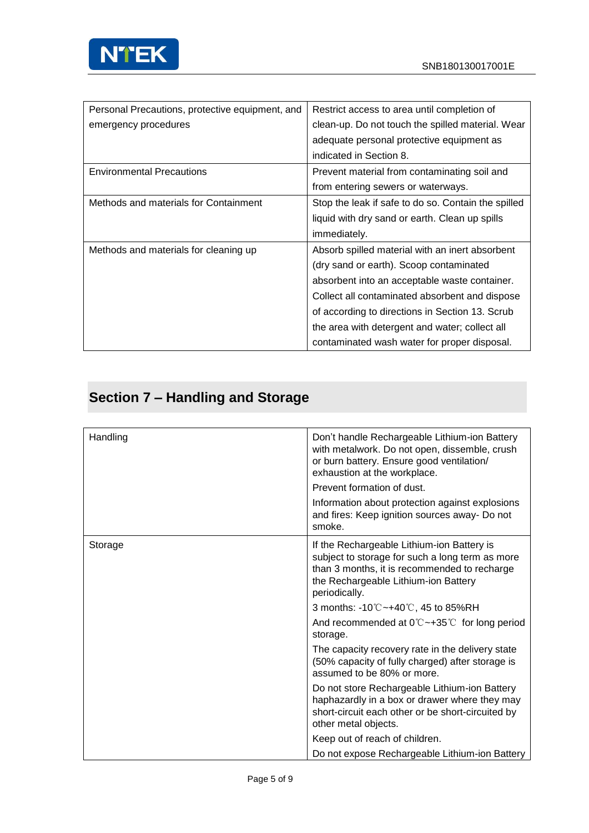

| Personal Precautions, protective equipment, and | Restrict access to area until completion of         |
|-------------------------------------------------|-----------------------------------------------------|
| emergency procedures                            | clean-up. Do not touch the spilled material. Wear   |
|                                                 | adequate personal protective equipment as           |
|                                                 | indicated in Section 8.                             |
| <b>Environmental Precautions</b>                | Prevent material from contaminating soil and        |
|                                                 | from entering sewers or waterways.                  |
| Methods and materials for Containment           | Stop the leak if safe to do so. Contain the spilled |
|                                                 | liquid with dry sand or earth. Clean up spills      |
|                                                 | <i>immediately.</i>                                 |
| Methods and materials for cleaning up           | Absorb spilled material with an inert absorbent     |
|                                                 | (dry sand or earth). Scoop contaminated             |
|                                                 | absorbent into an acceptable waste container.       |
|                                                 | Collect all contaminated absorbent and dispose      |
|                                                 | of according to directions in Section 13. Scrub     |
|                                                 | the area with detergent and water; collect all      |
|                                                 | contaminated wash water for proper disposal.        |

## **Section 7 – Handling and Storage**

| Handling | Don't handle Rechargeable Lithium-ion Battery<br>with metalwork. Do not open, dissemble, crush<br>or burn battery. Ensure good ventilation/<br>exhaustion at the workplace.                            |
|----------|--------------------------------------------------------------------------------------------------------------------------------------------------------------------------------------------------------|
|          | Prevent formation of dust.                                                                                                                                                                             |
|          | Information about protection against explosions<br>and fires: Keep ignition sources away- Do not<br>smoke.                                                                                             |
| Storage  | If the Rechargeable Lithium-ion Battery is<br>subject to storage for such a long term as more<br>than 3 months, it is recommended to recharge<br>the Rechargeable Lithium-ion Battery<br>periodically. |
|          | 3 months: -10℃~+40℃, 45 to 85%RH                                                                                                                                                                       |
|          | And recommended at $0^{\circ}$ $\sim$ +35 $^{\circ}$ for long period<br>storage.                                                                                                                       |
|          | The capacity recovery rate in the delivery state<br>(50% capacity of fully charged) after storage is<br>assumed to be 80% or more.                                                                     |
|          | Do not store Rechargeable Lithium-ion Battery<br>haphazardly in a box or drawer where they may<br>short-circuit each other or be short-circuited by<br>other metal objects.                            |
|          | Keep out of reach of children.                                                                                                                                                                         |
|          | Do not expose Rechargeable Lithium-ion Battery                                                                                                                                                         |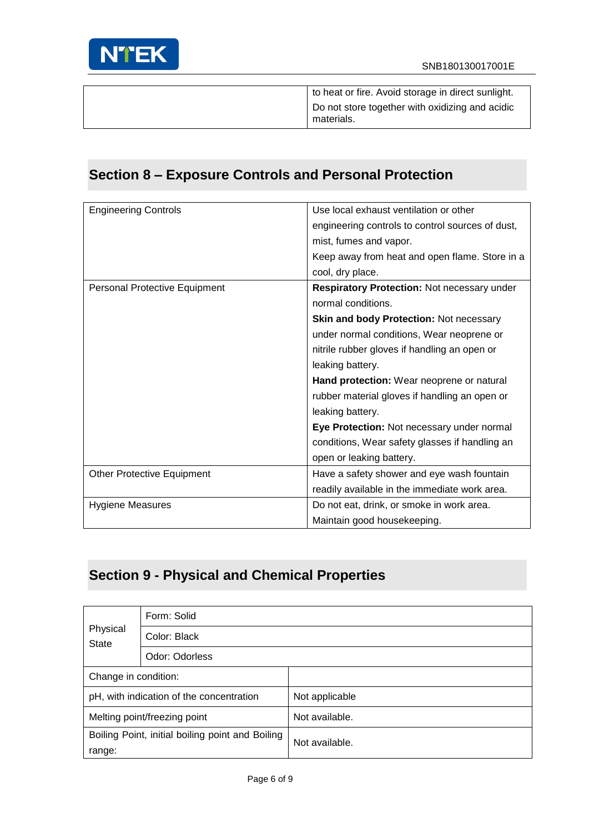

| to heat or fire. Avoid storage in direct sunlight.            |
|---------------------------------------------------------------|
| Do not store together with oxidizing and acidic<br>materials. |

# **Section 8 – Exposure Controls and Personal Protection**

| <b>Engineering Controls</b>       | Use local exhaust ventilation or other           |
|-----------------------------------|--------------------------------------------------|
|                                   | engineering controls to control sources of dust, |
|                                   | mist, fumes and vapor.                           |
|                                   | Keep away from heat and open flame. Store in a   |
|                                   | cool, dry place.                                 |
| Personal Protective Equipment     | Respiratory Protection: Not necessary under      |
|                                   | normal conditions.                               |
|                                   | Skin and body Protection: Not necessary          |
|                                   | under normal conditions, Wear neoprene or        |
|                                   | nitrile rubber gloves if handling an open or     |
|                                   | leaking battery.                                 |
|                                   | Hand protection: Wear neoprene or natural        |
|                                   | rubber material gloves if handling an open or    |
|                                   | leaking battery.                                 |
|                                   | Eye Protection: Not necessary under normal       |
|                                   | conditions, Wear safety glasses if handling an   |
|                                   | open or leaking battery.                         |
| <b>Other Protective Equipment</b> | Have a safety shower and eye wash fountain       |
|                                   | readily available in the immediate work area.    |
| <b>Hygiene Measures</b>           | Do not eat, drink, or smoke in work area.        |
|                                   | Maintain good housekeeping.                      |

## **Section 9 - Physical and Chemical Properties**

| Form: Solid              |                                                  |                |
|--------------------------|--------------------------------------------------|----------------|
| Physical<br><b>State</b> | Color: Black                                     |                |
|                          | Odor: Odorless                                   |                |
| Change in condition:     |                                                  |                |
|                          | pH, with indication of the concentration         | Not applicable |
|                          | Melting point/freezing point                     | Not available. |
|                          | Boiling Point, initial boiling point and Boiling | Not available. |
| range:                   |                                                  |                |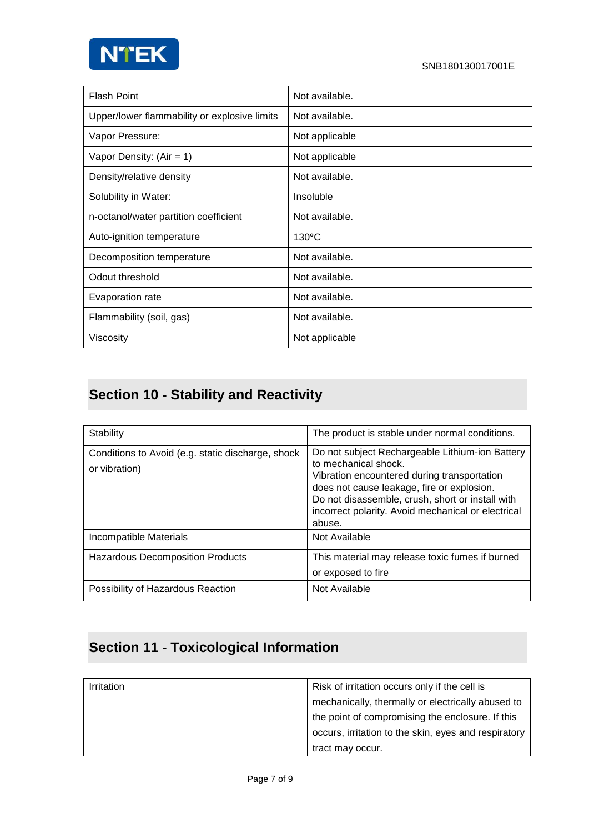

| <b>Flash Point</b>                           | Not available.  |
|----------------------------------------------|-----------------|
| Upper/lower flammability or explosive limits | Not available.  |
| Vapor Pressure:                              | Not applicable  |
| Vapor Density: $(Air = 1)$                   | Not applicable  |
| Density/relative density                     | Not available.  |
| Solubility in Water:                         | Insoluble       |
| n-octanol/water partition coefficient        | Not available.  |
| Auto-ignition temperature                    | $130^{\circ}$ C |
| Decomposition temperature                    | Not available.  |
| Odout threshold                              | Not available.  |
| Evaporation rate                             | Not available.  |
| Flammability (soil, gas)                     | Not available.  |
| Viscosity                                    | Not applicable  |

# **Section 10 - Stability and Reactivity**

| Stability                                                          | The product is stable under normal conditions.                                                                                                                                                                                                                                           |
|--------------------------------------------------------------------|------------------------------------------------------------------------------------------------------------------------------------------------------------------------------------------------------------------------------------------------------------------------------------------|
| Conditions to Avoid (e.g. static discharge, shock<br>or vibration) | Do not subject Rechargeable Lithium-ion Battery<br>to mechanical shock.<br>Vibration encountered during transportation<br>does not cause leakage, fire or explosion.<br>Do not disassemble, crush, short or install with<br>incorrect polarity. Avoid mechanical or electrical<br>abuse. |
| Incompatible Materials                                             | Not Available                                                                                                                                                                                                                                                                            |
| <b>Hazardous Decomposition Products</b>                            | This material may release toxic fumes if burned<br>or exposed to fire                                                                                                                                                                                                                    |
| Possibility of Hazardous Reaction                                  | Not Available                                                                                                                                                                                                                                                                            |

## **Section 11 - Toxicological Information**

| <b>Irritation</b> | Risk of irritation occurs only if the cell is        |
|-------------------|------------------------------------------------------|
|                   | mechanically, thermally or electrically abused to    |
|                   | the point of compromising the enclosure. If this     |
|                   | occurs, irritation to the skin, eyes and respiratory |
|                   | tract may occur.                                     |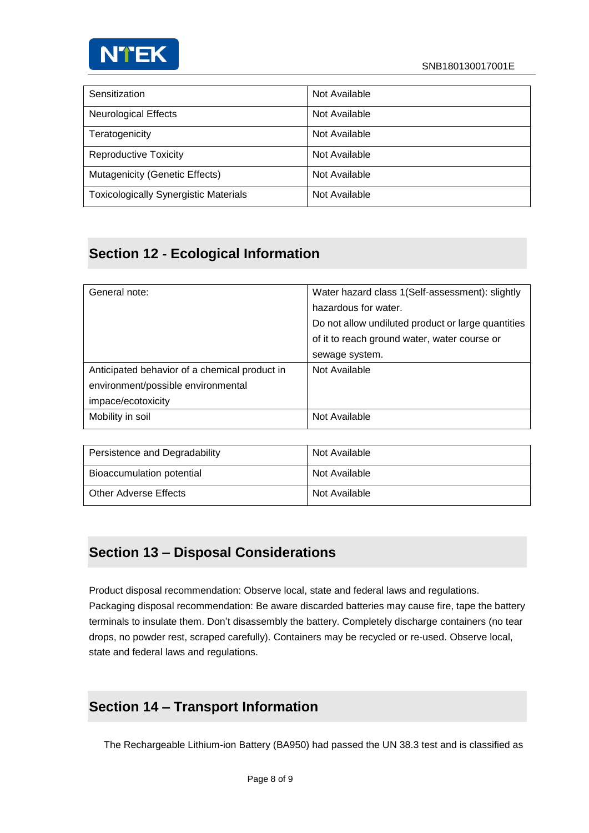

| Sensitization                                | Not Available |
|----------------------------------------------|---------------|
| <b>Neurological Effects</b>                  | Not Available |
| Teratogenicity                               | Not Available |
| <b>Reproductive Toxicity</b>                 | Not Available |
| Mutagenicity (Genetic Effects)               | Not Available |
| <b>Toxicologically Synergistic Materials</b> | Not Available |

### **Section 12 - Ecological Information**

| General note:                                 | Water hazard class 1(Self-assessment): slightly    |
|-----------------------------------------------|----------------------------------------------------|
|                                               | hazardous for water.                               |
|                                               | Do not allow undiluted product or large quantities |
|                                               | of it to reach ground water, water course or       |
|                                               | sewage system.                                     |
| Anticipated behavior of a chemical product in | Not Available                                      |
| environment/possible environmental            |                                                    |
| impace/ecotoxicity                            |                                                    |
| Mobility in soil                              | Not Available                                      |

| Persistence and Degradability | Not Available |
|-------------------------------|---------------|
| Bioaccumulation potential     | Not Available |
| Other Adverse Effects         | Not Available |

#### **Section 13 – Disposal Considerations**

Product disposal recommendation: Observe local, state and federal laws and regulations. Packaging disposal recommendation: Be aware discarded batteries may cause fire, tape the battery terminals to insulate them. Don't disassembly the battery. Completely discharge containers (no tear drops, no powder rest, scraped carefully). Containers may be recycled or re-used. Observe local, state and federal laws and regulations.

#### **Section 14 – Transport Information**

The Rechargeable Lithium-ion Battery (BA950) had passed the UN 38.3 test and is classified as